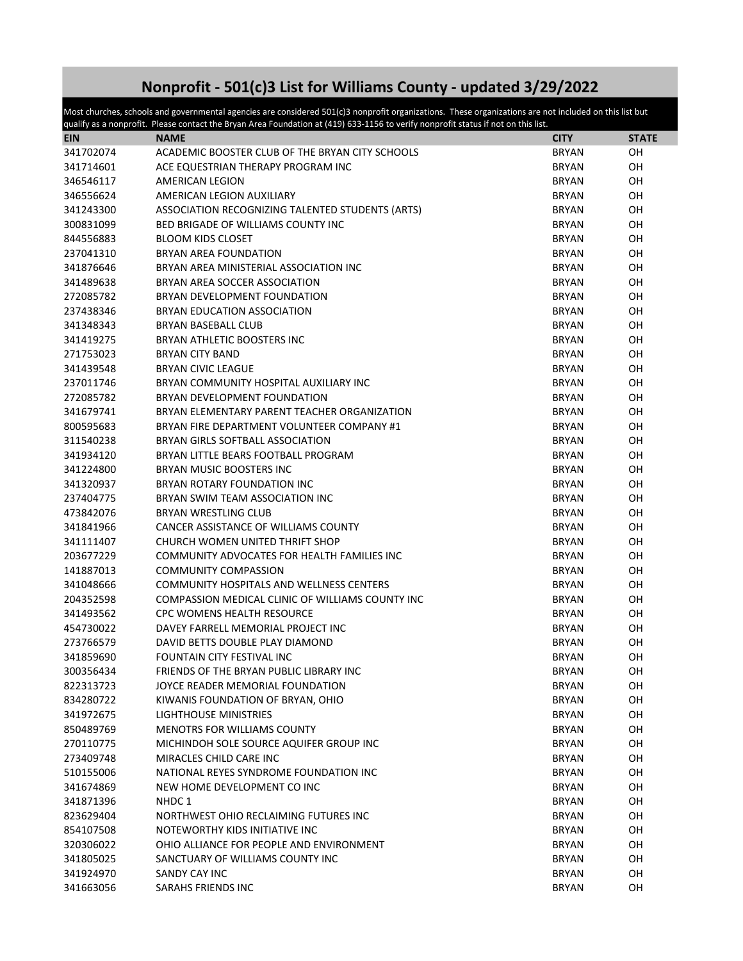## **Nonprofit - 501(c)3 List for Williams County - updated 3/29/2022**

Most churches, schools and governmental agencies are considered 501(c)3 nonprofit organizations. These organizations are not included on this list but qualify as a nonprofit. Please contact the Bryan Area Foundation at  $(419)$  633-1156 to verify nonprofit status if not on this list.

| <b>EIN</b> | <b>NAME</b>                                      | <b>CITY</b>  | <b>STATE</b> |
|------------|--------------------------------------------------|--------------|--------------|
| 341702074  | ACADEMIC BOOSTER CLUB OF THE BRYAN CITY SCHOOLS  | <b>BRYAN</b> | OH           |
| 341714601  | ACE EQUESTRIAN THERAPY PROGRAM INC               | <b>BRYAN</b> | OH           |
| 346546117  | AMERICAN LEGION                                  | <b>BRYAN</b> | OH           |
| 346556624  | AMERICAN LEGION AUXILIARY                        | <b>BRYAN</b> | OH           |
| 341243300  | ASSOCIATION RECOGNIZING TALENTED STUDENTS (ARTS) | <b>BRYAN</b> | OH           |
| 300831099  | <b>BED BRIGADE OF WILLIAMS COUNTY INC</b>        | <b>BRYAN</b> | OH           |
| 844556883  | <b>BLOOM KIDS CLOSET</b>                         | <b>BRYAN</b> | OH           |
| 237041310  | <b>BRYAN AREA FOUNDATION</b>                     | <b>BRYAN</b> | OH           |
| 341876646  | BRYAN AREA MINISTERIAL ASSOCIATION INC           | <b>BRYAN</b> | OH           |
| 341489638  | BRYAN AREA SOCCER ASSOCIATION                    | <b>BRYAN</b> | OH           |
| 272085782  | BRYAN DEVELOPMENT FOUNDATION                     | <b>BRYAN</b> | OН           |
| 237438346  | BRYAN EDUCATION ASSOCIATION                      | <b>BRYAN</b> | 0H           |
| 341348343  | <b>BRYAN BASEBALL CLUB</b>                       | <b>BRYAN</b> | 0H           |
| 341419275  | BRYAN ATHLETIC BOOSTERS INC                      | BRYAN        | OН           |
| 271753023  | <b>BRYAN CITY BAND</b>                           | <b>BRYAN</b> | OH           |
| 341439548  | <b>BRYAN CIVIC LEAGUE</b>                        | <b>BRYAN</b> | OH           |
| 237011746  | BRYAN COMMUNITY HOSPITAL AUXILIARY INC           | BRYAN        | OH           |
| 272085782  | BRYAN DEVELOPMENT FOUNDATION                     | <b>BRYAN</b> | OH           |
| 341679741  | BRYAN ELEMENTARY PARENT TEACHER ORGANIZATION     | <b>BRYAN</b> | OH           |
| 800595683  | BRYAN FIRE DEPARTMENT VOLUNTEER COMPANY #1       | <b>BRYAN</b> | OH           |
| 311540238  | BRYAN GIRLS SOFTBALL ASSOCIATION                 | <b>BRYAN</b> | OH           |
| 341934120  | BRYAN LITTLE BEARS FOOTBALL PROGRAM              | <b>BRYAN</b> | OH           |
| 341224800  | BRYAN MUSIC BOOSTERS INC                         | <b>BRYAN</b> | OH           |
| 341320937  | BRYAN ROTARY FOUNDATION INC                      | <b>BRYAN</b> | OH           |
| 237404775  | BRYAN SWIM TEAM ASSOCIATION INC                  | <b>BRYAN</b> | OH           |
| 473842076  | <b>BRYAN WRESTLING CLUB</b>                      | <b>BRYAN</b> | 0H           |
| 341841966  | CANCER ASSISTANCE OF WILLIAMS COUNTY             | <b>BRYAN</b> | OH           |
| 341111407  | CHURCH WOMEN UNITED THRIFT SHOP                  | <b>BRYAN</b> | OH           |
| 203677229  | COMMUNITY ADVOCATES FOR HEALTH FAMILIES INC      | <b>BRYAN</b> | OH           |
| 141887013  | <b>COMMUNITY COMPASSION</b>                      | BRYAN        | OH           |
| 341048666  | <b>COMMUNITY HOSPITALS AND WELLNESS CENTERS</b>  | BRYAN        | OH           |
| 204352598  | COMPASSION MEDICAL CLINIC OF WILLIAMS COUNTY INC | <b>BRYAN</b> | OH           |
| 341493562  | CPC WOMENS HEALTH RESOURCE                       | BRYAN        | OH           |
| 454730022  | DAVEY FARRELL MEMORIAL PROJECT INC               | BRYAN        | OH           |
| 273766579  | DAVID BETTS DOUBLE PLAY DIAMOND                  | <b>BRYAN</b> | OH           |
| 341859690  | FOUNTAIN CITY FESTIVAL INC                       | <b>BRYAN</b> | OН           |
| 300356434  | FRIENDS OF THE BRYAN PUBLIC LIBRARY INC          | BRYAN        | OH           |
| 822313723  | JOYCE READER MEMORIAL FOUNDATION                 | <b>BRYAN</b> | OН           |
| 834280722  | KIWANIS FOUNDATION OF BRYAN, OHIO                | <b>BRYAN</b> | OH           |
| 341972675  | LIGHTHOUSE MINISTRIES                            | <b>BRYAN</b> | OН           |
| 850489769  | <b>MENOTRS FOR WILLIAMS COUNTY</b>               | <b>BRYAN</b> | OH           |
| 270110775  | MICHINDOH SOLE SOURCE AQUIFER GROUP INC          | <b>BRYAN</b> | OH           |
| 273409748  | MIRACLES CHILD CARE INC                          | BRYAN        | OH           |
| 510155006  | NATIONAL REYES SYNDROME FOUNDATION INC           | <b>BRYAN</b> | OH           |
| 341674869  | NEW HOME DEVELOPMENT CO INC                      | <b>BRYAN</b> | OH           |
| 341871396  | NHDC 1                                           | <b>BRYAN</b> | OH           |
| 823629404  | NORTHWEST OHIO RECLAIMING FUTURES INC            | <b>BRYAN</b> | OH           |
| 854107508  | NOTEWORTHY KIDS INITIATIVE INC                   | <b>BRYAN</b> | OH           |
| 320306022  | OHIO ALLIANCE FOR PEOPLE AND ENVIRONMENT         | BRYAN        | OH           |
| 341805025  | SANCTUARY OF WILLIAMS COUNTY INC                 | BRYAN        | OН           |
| 341924970  | SANDY CAY INC                                    | <b>BRYAN</b> | OН           |
| 341663056  | SARAHS FRIENDS INC                               | <b>BRYAN</b> | OН           |
|            |                                                  |              |              |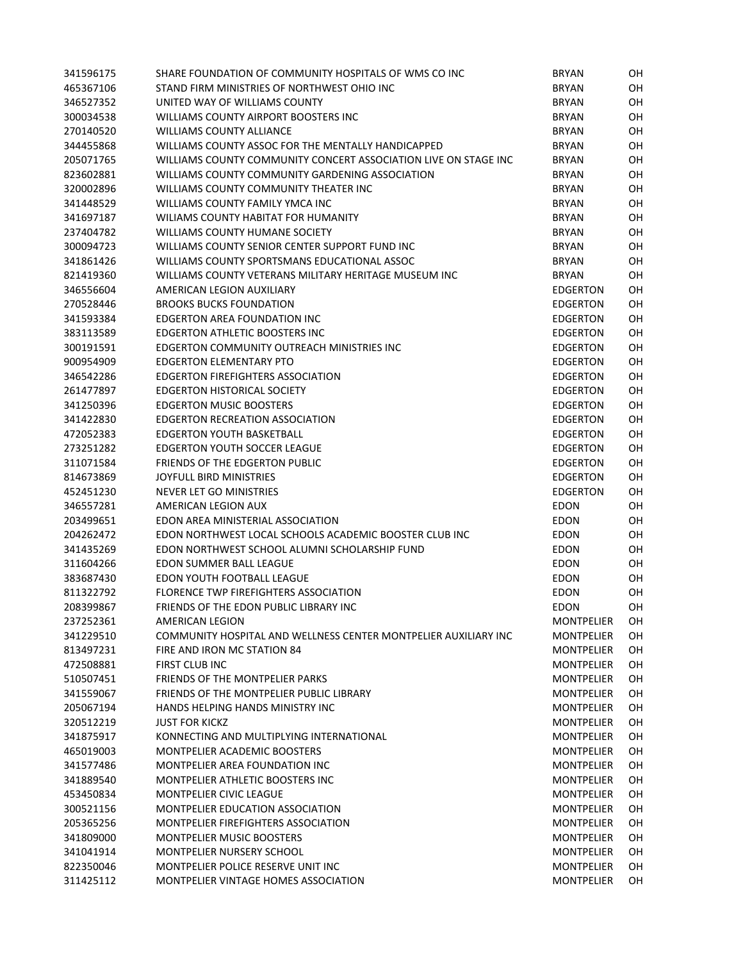| 341596175 | SHARE FOUNDATION OF COMMUNITY HOSPITALS OF WMS CO INC           | <b>BRYAN</b>      | OH        |
|-----------|-----------------------------------------------------------------|-------------------|-----------|
| 465367106 | STAND FIRM MINISTRIES OF NORTHWEST OHIO INC                     | <b>BRYAN</b>      | OH        |
| 346527352 | UNITED WAY OF WILLIAMS COUNTY                                   | <b>BRYAN</b>      | OН        |
| 300034538 | WILLIAMS COUNTY AIRPORT BOOSTERS INC                            | <b>BRYAN</b>      | OН        |
| 270140520 | <b>WILLIAMS COUNTY ALLIANCE</b>                                 | <b>BRYAN</b>      | OН        |
| 344455868 | WILLIAMS COUNTY ASSOC FOR THE MENTALLY HANDICAPPED              | <b>BRYAN</b>      | OH        |
| 205071765 | WILLIAMS COUNTY COMMUNITY CONCERT ASSOCIATION LIVE ON STAGE INC | <b>BRYAN</b>      | OH        |
| 823602881 | WILLIAMS COUNTY COMMUNITY GARDENING ASSOCIATION                 | <b>BRYAN</b>      | OH        |
| 320002896 | WILLIAMS COUNTY COMMUNITY THEATER INC                           | <b>BRYAN</b>      | OН        |
| 341448529 | WILLIAMS COUNTY FAMILY YMCA INC                                 | <b>BRYAN</b>      | OH        |
| 341697187 | WILIAMS COUNTY HABITAT FOR HUMANITY                             | <b>BRYAN</b>      | OH        |
| 237404782 | WILLIAMS COUNTY HUMANE SOCIETY                                  | <b>BRYAN</b>      | OH        |
| 300094723 | WILLIAMS COUNTY SENIOR CENTER SUPPORT FUND INC                  | <b>BRYAN</b>      | OН        |
| 341861426 | WILLIAMS COUNTY SPORTSMANS EDUCATIONAL ASSOC                    | <b>BRYAN</b>      | OН        |
| 821419360 | WILLIAMS COUNTY VETERANS MILITARY HERITAGE MUSEUM INC           | <b>BRYAN</b>      | OН        |
| 346556604 | AMERICAN LEGION AUXILIARY                                       | <b>EDGERTON</b>   | OН        |
| 270528446 | <b>BROOKS BUCKS FOUNDATION</b>                                  | <b>EDGERTON</b>   | OН        |
| 341593384 | EDGERTON AREA FOUNDATION INC                                    | <b>EDGERTON</b>   | OН        |
| 383113589 | EDGERTON ATHLETIC BOOSTERS INC                                  | <b>EDGERTON</b>   | OH        |
|           | EDGERTON COMMUNITY OUTREACH MINISTRIES INC                      |                   | OH        |
| 300191591 |                                                                 | <b>EDGERTON</b>   |           |
| 900954909 | <b>EDGERTON ELEMENTARY PTO</b>                                  | <b>EDGERTON</b>   | OH        |
| 346542286 | EDGERTON FIREFIGHTERS ASSOCIATION                               | <b>EDGERTON</b>   | OН        |
| 261477897 | <b>EDGERTON HISTORICAL SOCIETY</b>                              | <b>EDGERTON</b>   | OН        |
| 341250396 | <b>EDGERTON MUSIC BOOSTERS</b>                                  | <b>EDGERTON</b>   | OН        |
| 341422830 | EDGERTON RECREATION ASSOCIATION                                 | <b>EDGERTON</b>   | OН        |
| 472052383 | <b>EDGERTON YOUTH BASKETBALL</b>                                | <b>EDGERTON</b>   | OН        |
| 273251282 | <b>EDGERTON YOUTH SOCCER LEAGUE</b>                             | <b>EDGERTON</b>   | OН        |
| 311071584 | FRIENDS OF THE EDGERTON PUBLIC                                  | <b>EDGERTON</b>   | OН        |
| 814673869 | JOYFULL BIRD MINISTRIES                                         | <b>EDGERTON</b>   | OН        |
| 452451230 | NEVER LET GO MINISTRIES                                         | <b>EDGERTON</b>   | OН        |
| 346557281 | AMERICAN LEGION AUX                                             | <b>EDON</b>       | OН        |
| 203499651 | EDON AREA MINISTERIAL ASSOCIATION                               | <b>EDON</b>       | OН        |
| 204262472 | EDON NORTHWEST LOCAL SCHOOLS ACADEMIC BOOSTER CLUB INC          | <b>EDON</b>       | OH        |
| 341435269 | EDON NORTHWEST SCHOOL ALUMNI SCHOLARSHIP FUND                   | <b>EDON</b>       | OH        |
| 311604266 | EDON SUMMER BALL LEAGUE                                         | <b>EDON</b>       | OH        |
| 383687430 | EDON YOUTH FOOTBALL LEAGUE                                      | <b>EDON</b>       | OH        |
| 811322792 | <b>FLORENCE TWP FIREFIGHTERS ASSOCIATION</b>                    | <b>EDON</b>       | OН        |
| 208399867 | FRIENDS OF THE EDON PUBLIC LIBRARY INC                          | <b>EDON</b>       | OH        |
| 237252361 | AMERICAN LEGION                                                 | <b>MONTPELIER</b> | OH        |
| 341229510 | COMMUNITY HOSPITAL AND WELLNESS CENTER MONTPELIER AUXILIARY INC | <b>MONTPELIER</b> | OH        |
| 813497231 | FIRE AND IRON MC STATION 84                                     | <b>MONTPELIER</b> | <b>OH</b> |
| 472508881 | FIRST CLUB INC                                                  | <b>MONTPELIER</b> | <b>OH</b> |
| 510507451 | FRIENDS OF THE MONTPELIER PARKS                                 | <b>MONTPELIER</b> | <b>OH</b> |
| 341559067 | FRIENDS OF THE MONTPELIER PUBLIC LIBRARY                        | <b>MONTPELIER</b> | OH        |
| 205067194 | HANDS HELPING HANDS MINISTRY INC                                | <b>MONTPELIER</b> | <b>OH</b> |
| 320512219 | <b>JUST FOR KICKZ</b>                                           | <b>MONTPELIER</b> | OH        |
| 341875917 | KONNECTING AND MULTIPLYING INTERNATIONAL                        | <b>MONTPELIER</b> | OH        |
| 465019003 | MONTPELIER ACADEMIC BOOSTERS                                    | <b>MONTPELIER</b> | OH        |
| 341577486 | MONTPELIER AREA FOUNDATION INC                                  | <b>MONTPELIER</b> | OН        |
| 341889540 | <b>MONTPELIER ATHLETIC BOOSTERS INC</b>                         | <b>MONTPELIER</b> | OН        |
| 453450834 | <b>MONTPELIER CIVIC LEAGUE</b>                                  | <b>MONTPELIER</b> | OН        |
| 300521156 | <b>MONTPELIER EDUCATION ASSOCIATION</b>                         | <b>MONTPELIER</b> | OН        |
| 205365256 | <b>MONTPELIER FIREFIGHTERS ASSOCIATION</b>                      | <b>MONTPELIER</b> | OН        |
| 341809000 | <b>MONTPELIER MUSIC BOOSTERS</b>                                | <b>MONTPELIER</b> | OН        |
| 341041914 | <b>MONTPELIER NURSERY SCHOOL</b>                                | <b>MONTPELIER</b> | OН        |
| 822350046 | MONTPELIER POLICE RESERVE UNIT INC                              | <b>MONTPELIER</b> | OН        |
|           | MONTPELIER VINTAGE HOMES ASSOCIATION                            | <b>MONTPELIER</b> |           |
| 311425112 |                                                                 |                   | OH        |